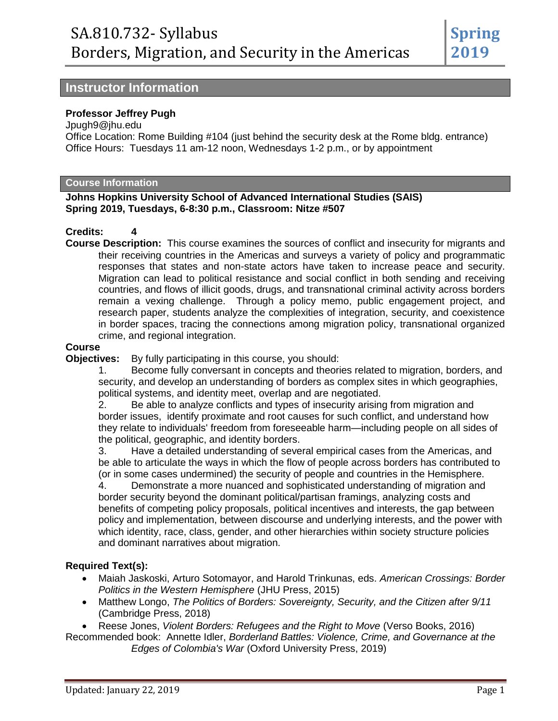**2019**

**Spring**

## **Instructor Information**

#### **Professor Jeffrey Pugh**

Jpugh9@jhu.edu

Office Location: Rome Building #104 (just behind the security desk at the Rome bldg. entrance) Office Hours: Tuesdays 11 am-12 noon, Wednesdays 1-2 p.m., or by appointment

#### **Course Information**

#### **Johns Hopkins University School of Advanced International Studies (SAIS) Spring 2019, Tuesdays, 6-8:30 p.m., Classroom: Nitze #507**

#### **Credits: 4**

**Course Description:** This course examines the sources of conflict and insecurity for migrants and their receiving countries in the Americas and surveys a variety of policy and programmatic responses that states and non-state actors have taken to increase peace and security. Migration can lead to political resistance and social conflict in both sending and receiving countries, and flows of illicit goods, drugs, and transnational criminal activity across borders remain a vexing challenge. Through a policy memo, public engagement project, and research paper, students analyze the complexities of integration, security, and coexistence in border spaces, tracing the connections among migration policy, transnational organized crime, and regional integration.

#### **Course**

**Objectives:** By fully participating in this course, you should:

1. Become fully conversant in concepts and theories related to migration, borders, and security, and develop an understanding of borders as complex sites in which geographies, political systems, and identity meet, overlap and are negotiated.

2. Be able to analyze conflicts and types of insecurity arising from migration and border issues, identify proximate and root causes for such conflict, and understand how they relate to individuals' freedom from foreseeable harm—including people on all sides of the political, geographic, and identity borders.

3. Have a detailed understanding of several empirical cases from the Americas, and be able to articulate the ways in which the flow of people across borders has contributed to (or in some cases undermined) the security of people and countries in the Hemisphere.

4. Demonstrate a more nuanced and sophisticated understanding of migration and border security beyond the dominant political/partisan framings, analyzing costs and benefits of competing policy proposals, political incentives and interests, the gap between policy and implementation, between discourse and underlying interests, and the power with which identity, race, class, gender, and other hierarchies within society structure policies and dominant narratives about migration.

#### **Required Text(s):**

- Maiah Jaskoski, Arturo Sotomayor, and Harold Trinkunas, eds. *American Crossings: Border Politics in the Western Hemisphere* (JHU Press, 2015)
- Matthew Longo, *The Politics of Borders: Sovereignty, Security, and the Citizen after 9/11* (Cambridge Press, 2018)

Reese Jones, *Violent Borders: Refugees and the Right to Move* (Verso Books, 2016)

Recommended book: Annette Idler, *Borderland Battles: Violence, Crime, and Governance at the Edges of Colombia's War* (Oxford University Press, 2019)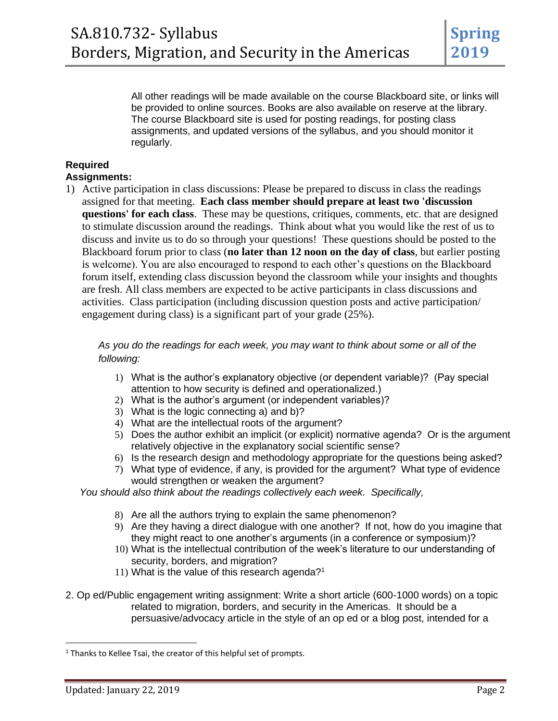All other readings will be made available on the course Blackboard site, or links will be provided to online sources. Books are also available on reserve at the library. The course Blackboard site is used for posting readings, for posting class assignments, and updated versions of the syllabus, and you should monitor it regularly.

#### **Required Assignments:**

1) Active participation in class discussions: Please be prepared to discuss in class the readings assigned for that meeting. **Each class member should prepare at least two 'discussion questions' for each class**. These may be questions, critiques, comments, etc. that are designed to stimulate discussion around the readings. Think about what you would like the rest of us to discuss and invite us to do so through your questions! These questions should be posted to the Blackboard forum prior to class (**no later than 12 noon on the day of class**, but earlier posting is welcome). You are also encouraged to respond to each other's questions on the Blackboard forum itself, extending class discussion beyond the classroom while your insights and thoughts are fresh. All class members are expected to be active participants in class discussions and activities. Class participation (including discussion question posts and active participation/ engagement during class) is a significant part of your grade (25%).

*As you do the readings for each week, you may want to think about some or all of the following:*

- 1) What is the author's explanatory objective (or dependent variable)? (Pay special attention to how security is defined and operationalized.)
- 2) What is the author's argument (or independent variables)?
- 3) What is the logic connecting a) and b)?
- 4) What are the intellectual roots of the argument?
- 5) Does the author exhibit an implicit (or explicit) normative agenda? Or is the argument relatively objective in the explanatory social scientific sense?
- 6) Is the research design and methodology appropriate for the questions being asked?
- 7) What type of evidence, if any, is provided for the argument? What type of evidence would strengthen or weaken the argument?

*You should also think about the readings collectively each week. Specifically,*

- 8) Are all the authors trying to explain the same phenomenon?
- 9) Are they having a direct dialogue with one another? If not, how do you imagine that they might react to one another's arguments (in a conference or symposium)?
- 10) What is the intellectual contribution of the week's literature to our understanding of security, borders, and migration?
- 11) What is the value of this research agenda?<sup>1</sup>
- 2. Op ed/Public engagement writing assignment: Write a short article (600-1000 words) on a topic related to migration, borders, and security in the Americas. It should be a persuasive/advocacy article in the style of an op ed or a blog post, intended for a

 $\overline{\phantom{a}}$ 

 $1$  Thanks to Kellee Tsai, the creator of this helpful set of prompts.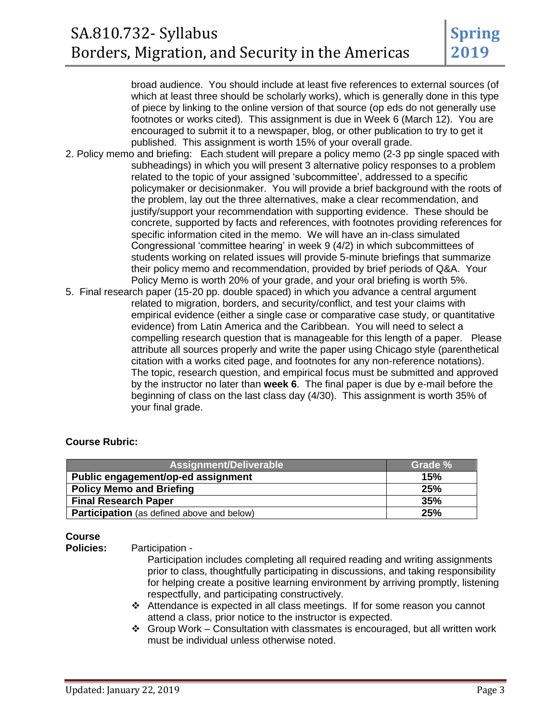broad audience. You should include at least five references to external sources (of which at least three should be scholarly works), which is generally done in this type of piece by linking to the online version of that source (op eds do not generally use footnotes or works cited). This assignment is due in Week 6 (March 12). You are encouraged to submit it to a newspaper, blog, or other publication to try to get it published. This assignment is worth 15% of your overall grade.

- 2. Policy memo and briefing: Each student will prepare a policy memo (2-3 pp single spaced with subheadings) in which you will present 3 alternative policy responses to a problem related to the topic of your assigned 'subcommittee', addressed to a specific policymaker or decisionmaker. You will provide a brief background with the roots of the problem, lay out the three alternatives, make a clear recommendation, and justify/support your recommendation with supporting evidence. These should be concrete, supported by facts and references, with footnotes providing references for specific information cited in the memo. We will have an in-class simulated Congressional 'committee hearing' in week 9 (4/2) in which subcommittees of students working on related issues will provide 5-minute briefings that summarize their policy memo and recommendation, provided by brief periods of Q&A. Your Policy Memo is worth 20% of your grade, and your oral briefing is worth 5%.
- 5. Final research paper (15-20 pp. double spaced) in which you advance a central argument related to migration, borders, and security/conflict, and test your claims with empirical evidence (either a single case or comparative case study, or quantitative evidence) from Latin America and the Caribbean. You will need to select a compelling research question that is manageable for this length of a paper. Please attribute all sources properly and write the paper using Chicago style (parenthetical citation with a works cited page, and footnotes for any non-reference notations). The topic, research question, and empirical focus must be submitted and approved by the instructor no later than **week 6**. The final paper is due by e-mail before the beginning of class on the last class day (4/30). This assignment is worth 35% of your final grade.

#### **Course Rubric:**

| Assignment/Deliverable                            | Grade % |  |
|---------------------------------------------------|---------|--|
| Public engagement/op-ed assignment                | 15%     |  |
| <b>Policy Memo and Briefing</b>                   | 25%     |  |
| <b>Final Research Paper</b>                       | 35%     |  |
| <b>Participation</b> (as defined above and below) | 25%     |  |

#### **Course**

**Policies:** Participation -

Participation includes completing all required reading and writing assignments prior to class, thoughtfully participating in discussions, and taking responsibility for helping create a positive learning environment by arriving promptly, listening respectfully, and participating constructively.

- Attendance is expected in all class meetings. If for some reason you cannot attend a class, prior notice to the instructor is expected.
- $\div$  Group Work Consultation with classmates is encouraged, but all written work must be individual unless otherwise noted.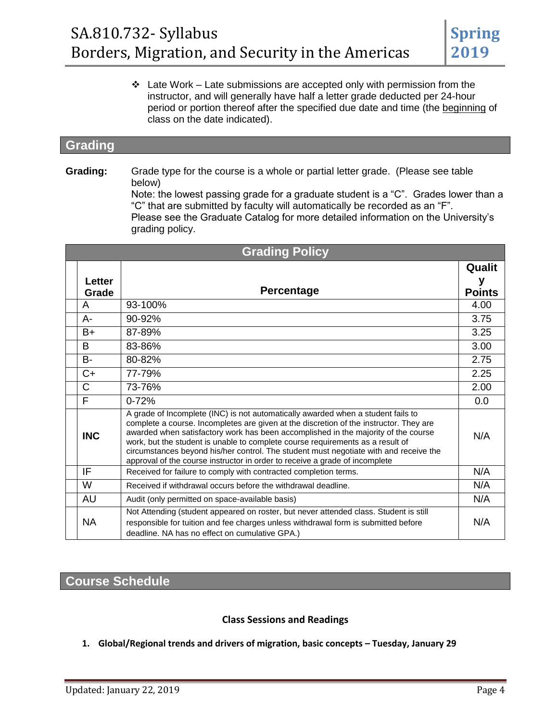$\cdot$  Late Work – Late submissions are accepted only with permission from the instructor, and will generally have half a letter grade deducted per 24-hour period or portion thereof after the specified due date and time (the beginning of class on the date indicated).

## **Grading**

**Grading:** Grade type for the course is a whole or partial letter grade. (Please see table below)

> Note: the lowest passing grade for a graduate student is a "C". Grades lower than a "C" that are submitted by faculty will automatically be recorded as an "F". Please see the Graduate Catalog for more detailed information on the University's grading policy.

| <b>Grading Policy</b> |               |                                                                                                                                                                                                                                                                                                                                                                                                                                                                                                                            |               |
|-----------------------|---------------|----------------------------------------------------------------------------------------------------------------------------------------------------------------------------------------------------------------------------------------------------------------------------------------------------------------------------------------------------------------------------------------------------------------------------------------------------------------------------------------------------------------------------|---------------|
|                       | <b>Letter</b> |                                                                                                                                                                                                                                                                                                                                                                                                                                                                                                                            | Qualit<br>y   |
|                       | Grade         | <b>Percentage</b>                                                                                                                                                                                                                                                                                                                                                                                                                                                                                                          | <b>Points</b> |
|                       | A             | $93 - 100\%$                                                                                                                                                                                                                                                                                                                                                                                                                                                                                                               | 4.00          |
|                       | A-            | 90-92%                                                                                                                                                                                                                                                                                                                                                                                                                                                                                                                     | 3.75          |
|                       | B+            | 87-89%                                                                                                                                                                                                                                                                                                                                                                                                                                                                                                                     | 3.25          |
|                       | B             | 83-86%                                                                                                                                                                                                                                                                                                                                                                                                                                                                                                                     | 3.00          |
|                       | <b>B-</b>     | 80-82%                                                                                                                                                                                                                                                                                                                                                                                                                                                                                                                     | 2.75          |
|                       | $C+$          | 77-79%                                                                                                                                                                                                                                                                                                                                                                                                                                                                                                                     | 2.25          |
|                       | C             | 73-76%                                                                                                                                                                                                                                                                                                                                                                                                                                                                                                                     | 2.00          |
|                       | F             | $0 - 72%$                                                                                                                                                                                                                                                                                                                                                                                                                                                                                                                  | 0.0           |
|                       | <b>INC</b>    | A grade of Incomplete (INC) is not automatically awarded when a student fails to<br>complete a course. Incompletes are given at the discretion of the instructor. They are<br>awarded when satisfactory work has been accomplished in the majority of the course<br>work, but the student is unable to complete course requirements as a result of<br>circumstances beyond his/her control. The student must negotiate with and receive the<br>approval of the course instructor in order to receive a grade of incomplete | N/A           |
|                       | IF            | Received for failure to comply with contracted completion terms.                                                                                                                                                                                                                                                                                                                                                                                                                                                           | N/A           |
|                       | W             | Received if withdrawal occurs before the withdrawal deadline.                                                                                                                                                                                                                                                                                                                                                                                                                                                              | N/A           |
|                       | AU            | Audit (only permitted on space-available basis)                                                                                                                                                                                                                                                                                                                                                                                                                                                                            | N/A           |
|                       | <b>NA</b>     | Not Attending (student appeared on roster, but never attended class. Student is still<br>responsible for tuition and fee charges unless withdrawal form is submitted before<br>deadline. NA has no effect on cumulative GPA.)                                                                                                                                                                                                                                                                                              | N/A           |

# **Course Schedule**

#### **Class Sessions and Readings**

**1. Global/Regional trends and drivers of migration, basic concepts – Tuesday, January 29**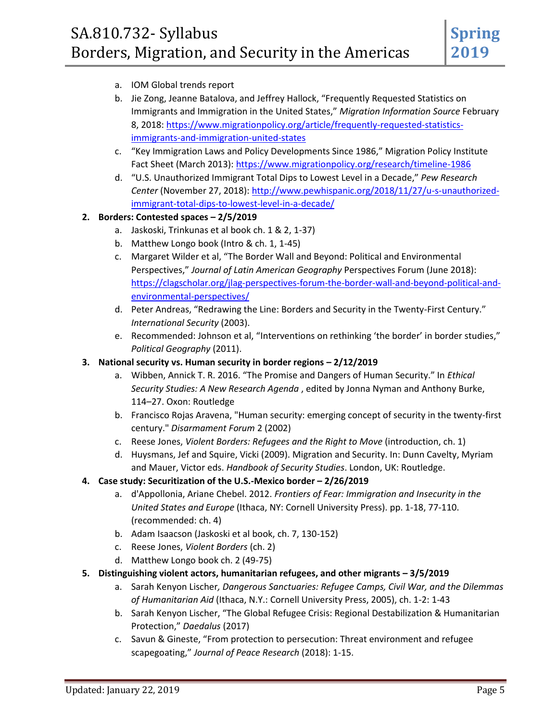- a. IOM Global trends report
- b. Jie Zong, Jeanne Batalova, and Jeffrey Hallock, "Frequently Requested Statistics on Immigrants and Immigration in the United States," *Migration Information Source* February 8, 2018[: https://www.migrationpolicy.org/article/frequently-requested-statistics](https://www.migrationpolicy.org/article/frequently-requested-statistics-immigrants-and-immigration-united-states)[immigrants-and-immigration-united-states](https://www.migrationpolicy.org/article/frequently-requested-statistics-immigrants-and-immigration-united-states)
- c. "Key Immigration Laws and Policy Developments Since 1986," Migration Policy Institute Fact Sheet (March 2013):<https://www.migrationpolicy.org/research/timeline-1986>
- d. "U.S. Unauthorized Immigrant Total Dips to Lowest Level in a Decade," *Pew Research Center* (November 27, 2018): [http://www.pewhispanic.org/2018/11/27/u-s-unauthorized](http://www.pewhispanic.org/2018/11/27/u-s-unauthorized-immigrant-total-dips-to-lowest-level-in-a-decade/)[immigrant-total-dips-to-lowest-level-in-a-decade/](http://www.pewhispanic.org/2018/11/27/u-s-unauthorized-immigrant-total-dips-to-lowest-level-in-a-decade/)

#### **2. Borders: Contested spaces – 2/5/2019**

- a. Jaskoski, Trinkunas et al book ch. 1 & 2, 1-37)
- b. Matthew Longo book (Intro & ch. 1, 1-45)
- c. Margaret Wilder et al, "The Border Wall and Beyond: Political and Environmental Perspectives," *Journal of Latin American Geography* Perspectives Forum (June 2018): [https://clagscholar.org/jlag-perspectives-forum-the-border-wall-and-beyond-political-and](https://clagscholar.org/jlag-perspectives-forum-the-border-wall-and-beyond-political-and-environmental-perspectives/)[environmental-perspectives/](https://clagscholar.org/jlag-perspectives-forum-the-border-wall-and-beyond-political-and-environmental-perspectives/)
- d. Peter Andreas, "Redrawing the Line: Borders and Security in the Twenty-First Century." *International Security* (2003).
- e. Recommended: Johnson et al, "Interventions on rethinking 'the border' in border studies," *Political Geography* (2011).
- **3. National security vs. Human security in border regions – 2/12/2019**
	- a. Wibben, Annick T. R. 2016. "The Promise and Dangers of Human Security." In *Ethical Security Studies: A New Research Agenda* , edited by Jonna Nyman and Anthony Burke, 114–27. Oxon: Routledge
	- b. Francisco Rojas Aravena, "Human security: emerging concept of security in the twenty-first century." *Disarmament Forum* 2 (2002)
	- c. Reese Jones, *Violent Borders: Refugees and the Right to Move* (introduction, ch. 1)
	- d. Huysmans, Jef and Squire, Vicki (2009). Migration and Security. In: Dunn Cavelty, Myriam and Mauer, Victor eds. *Handbook of Security Studies*. London, UK: Routledge.
- **4. Case study: Securitization of the U.S.-Mexico border – 2/26/2019**
	- a. d'Appollonia, Ariane Chebel. 2012. *Frontiers of Fear: Immigration and Insecurity in the United States and Europe* (Ithaca, NY: Cornell University Press). pp. 1-18, 77-110. (recommended: ch. 4)
	- b. Adam Isaacson (Jaskoski et al book, ch. 7, 130-152)
	- c. Reese Jones, *Violent Borders* (ch. 2)
	- d. Matthew Longo book ch. 2 (49-75)
- **5. Distinguishing violent actors, humanitarian refugees, and other migrants – 3/5/2019**
	- a. Sarah Kenyon Lischer*, Dangerous Sanctuaries: Refugee Camps, Civil War, and the Dilemmas of Humanitarian Aid* (Ithaca, N.Y.: Cornell University Press, 2005), ch. 1-2: 1-43
	- b. Sarah Kenyon Lischer, "The Global Refugee Crisis: Regional Destabilization & Humanitarian Protection," *Daedalus* (2017)
	- c. Savun & Gineste, "From protection to persecution: Threat environment and refugee scapegoating," *Journal of Peace Research* (2018): 1-15.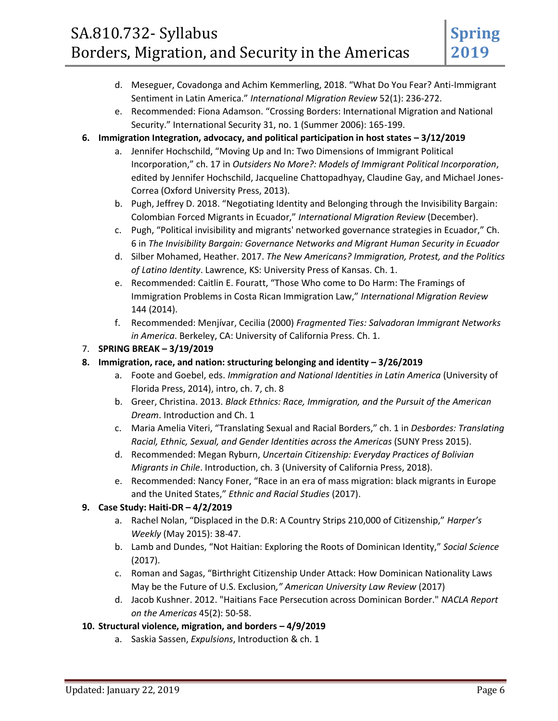# SA.810.732- Syllabus Borders, Migration, and Security in the Americas

- d. Meseguer, Covadonga and Achim Kemmerling, 2018. "What Do You Fear? Anti-Immigrant Sentiment in Latin America." *International Migration Review* 52(1): 236-272.
- e. Recommended: Fiona Adamson. "Crossing Borders: International Migration and National Security." International Security 31, no. 1 (Summer 2006): 165-199.
- **6. Immigration Integration, advocacy, and political participation in host states – 3/12/2019**
	- a. Jennifer Hochschild, "Moving Up and In: Two Dimensions of Immigrant Political Incorporation," ch. 17 in *Outsiders No More?: Models of Immigrant Political Incorporation*, edited by Jennifer Hochschild, Jacqueline Chattopadhyay, Claudine Gay, and Michael Jones-Correa (Oxford University Press, 2013).
	- b. Pugh, Jeffrey D. 2018. "Negotiating Identity and Belonging through the Invisibility Bargain: Colombian Forced Migrants in Ecuador," *International Migration Review* (December).
	- c. Pugh, "Political invisibility and migrants' networked governance strategies in Ecuador," Ch. 6 in *The Invisibility Bargain: Governance Networks and Migrant Human Security in Ecuador*
	- d. Silber Mohamed, Heather. 2017. *The New Americans? Immigration, Protest, and the Politics of Latino Identity*. Lawrence, KS: University Press of Kansas. Ch. 1.
	- e. Recommended: Caitlin E. Fouratt, "Those Who come to Do Harm: The Framings of Immigration Problems in Costa Rican Immigration Law," *International Migration Review* 144 (2014).
	- f. Recommended: Menjívar, Cecilia (2000) *Fragmented Ties: Salvadoran Immigrant Networks in America*. Berkeley, CA: University of California Press. Ch. 1.

#### 7. **SPRING BREAK – 3/19/2019**

- **8. Immigration, race, and nation: structuring belonging and identity – 3/26/2019**
	- a. Foote and Goebel, eds. *Immigration and National Identities in Latin America* (University of Florida Press, 2014), intro, ch. 7, ch. 8
	- b. Greer, Christina. 2013. *Black Ethnics: Race, Immigration, and the Pursuit of the American Dream*. Introduction and Ch. 1
	- c. Maria Amelia Viteri, "Translating Sexual and Racial Borders," ch. 1 in *Desbordes: Translating Racial, Ethnic, Sexual, and Gender Identities across the Americas* (SUNY Press 2015).
	- d. Recommended: Megan Ryburn, *Uncertain Citizenship: Everyday Practices of Bolivian Migrants in Chile*. Introduction, ch. 3 (University of California Press, 2018).
	- e. Recommended: Nancy Foner, "Race in an era of mass migration: black migrants in Europe and the United States," *Ethnic and Racial Studies* (2017).

## **9. Case Study: Haiti-DR – 4/2/2019**

- a. Rachel Nolan, "Displaced in the D.R: A Country Strips 210,000 of Citizenship," *Harper's Weekly* (May 2015): 38-47.
- b. Lamb and Dundes, "Not Haitian: Exploring the Roots of Dominican Identity," *Social Science* (2017).
- c. Roman and Sagas, "Birthright Citizenship Under Attack: How Dominican Nationality Laws May be the Future of U.S. Exclusion*," American University Law Review* (2017)
- d. Jacob Kushner. 2012. "Haitians Face Persecution across Dominican Border." *NACLA Report on the Americas* 45(2): 50-58.

#### **10. Structural violence, migration, and borders – 4/9/2019**

a. Saskia Sassen, *Expulsions*, Introduction & ch. 1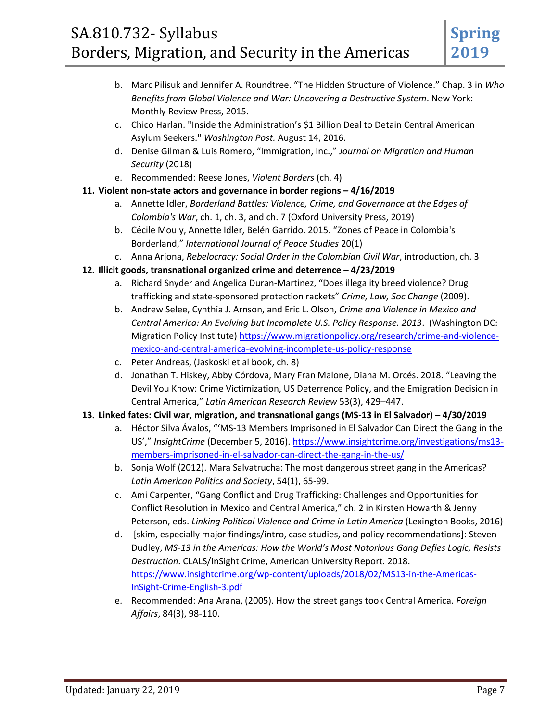- b. Marc Pilisuk and Jennifer A. Roundtree. "The Hidden Structure of Violence." Chap. 3 in *Who Benefits from Global Violence and War: Uncovering a Destructive System*. New York: Monthly Review Press, 2015.
- c. Chico Harlan. "Inside the Administration's \$1 Billion Deal to Detain Central American Asylum Seekers." *Washington Post.* August 14, 2016.
- d. Denise Gilman & Luis Romero, "Immigration, Inc.," *Journal on Migration and Human Security* (2018)
- e. Recommended: Reese Jones, *Violent Borders* (ch. 4)

#### **11. Violent non-state actors and governance in border regions – 4/16/2019**

- a. Annette Idler, *Borderland Battles: Violence, Crime, and Governance at the Edges of Colombia's War*, ch. 1, ch. 3, and ch. 7 (Oxford University Press, 2019)
- b. Cécile Mouly, Annette Idler, Belén Garrido. 2015. "Zones of Peace in Colombia's Borderland," *International Journal of Peace Studies* 20(1)
- c. Anna Arjona, *Rebelocracy: Social Order in the Colombian Civil War*, introduction, ch. 3
- **12. Illicit goods, transnational organized crime and deterrence – 4/23/2019**
	- a. Richard Snyder and Angelica Duran-Martinez, "Does illegality breed violence? Drug trafficking and state-sponsored protection rackets" *Crime, Law, Soc Change* (2009).
	- b. Andrew Selee, Cynthia J. Arnson, and Eric L. Olson, *Crime and Violence in Mexico and Central America: An Evolving but Incomplete U.S. Policy Response. 2013*. (Washington DC: Migration Policy Institute[\) https://www.migrationpolicy.org/research/crime-and-violence](https://www.migrationpolicy.org/research/crime-and-violence-mexico-and-central-america-evolving-incomplete-us-policy-response)[mexico-and-central-america-evolving-incomplete-us-policy-response](https://www.migrationpolicy.org/research/crime-and-violence-mexico-and-central-america-evolving-incomplete-us-policy-response)
	- c. Peter Andreas, (Jaskoski et al book, ch. 8)
	- d. Jonathan T. Hiskey, Abby Córdova, Mary Fran Malone, Diana M. Orcés. 2018. "Leaving the Devil You Know: Crime Victimization, US Deterrence Policy, and the Emigration Decision in Central America," *Latin American Research Review* 53(3), 429–447.

#### **13. Linked fates: Civil war, migration, and transnational gangs (MS-13 in El Salvador) – 4/30/2019**

- a. Héctor Silva Ávalos, "'MS-13 Members Imprisoned in El Salvador Can Direct the Gang in the US'," *InsightCrime* (December 5, 2016). [https://www.insightcrime.org/investigations/ms13](https://www.insightcrime.org/investigations/ms13-members-imprisoned-in-el-salvador-can-direct-the-gang-in-the-us/) [members-imprisoned-in-el-salvador-can-direct-the-gang-in-the-us/](https://www.insightcrime.org/investigations/ms13-members-imprisoned-in-el-salvador-can-direct-the-gang-in-the-us/)
- b. Sonja Wolf (2012). Mara Salvatrucha: The most dangerous street gang in the Americas? *Latin American Politics and Society*, 54(1), 65-99.
- c. Ami Carpenter, "Gang Conflict and Drug Trafficking: Challenges and Opportunities for Conflict Resolution in Mexico and Central America," ch. 2 in Kirsten Howarth & Jenny Peterson, eds. *Linking Political Violence and Crime in Latin America* (Lexington Books, 2016)
- d. [skim, especially major findings/intro, case studies, and policy recommendations]: Steven Dudley, *MS-13 in the Americas: How the World's Most Notorious Gang Defies Logic, Resists Destruction*. CLALS/InSight Crime, American University Report. 2018. [https://www.insightcrime.org/wp-content/uploads/2018/02/MS13-in-the-Americas-](https://www.insightcrime.org/wp-content/uploads/2018/02/MS13-in-the-Americas-InSight-Crime-English-3.pdf)[InSight-Crime-English-3.pdf](https://www.insightcrime.org/wp-content/uploads/2018/02/MS13-in-the-Americas-InSight-Crime-English-3.pdf)
- e. Recommended: Ana Arana, (2005). How the street gangs took Central America. *Foreign Affairs*, 84(3), 98-110.